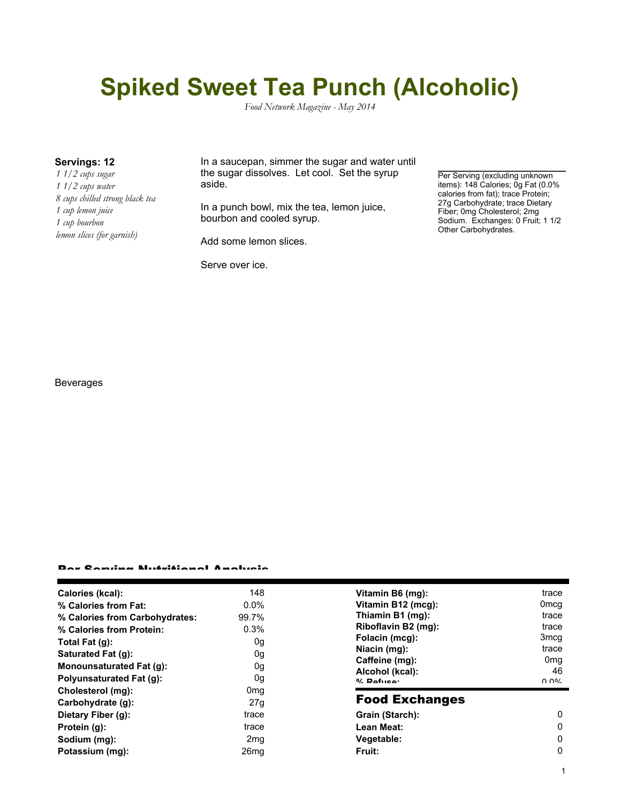# **Spiked Sweet Tea Punch (Alcoholic)**

*Food Network Magazine - May 2014*

*1 1/2 cups sugar 1 1/2 cups water 8 cups chilled strong black tea 1 cup lemon juice 1 cup bourbon lemon slices (for garnish)*

**Servings: 12** In a saucepan, simmer the sugar and water until the sugar dissolves. Let cool. Set the syrup aside.

> In a punch bowl, mix the tea, lemon juice, bourbon and cooled syrup.

Add some lemon slices.

Serve over ice.

Per Serving (excluding unknown items): 148 Calories; Og Fat (0.0% calories from fat); trace Protein; 27g Carbohydrate; trace Dietary Fiber; 0mg Cholesterol; 2mg Sodium. Exchanges: 0 Fruit; 1 1/2 Other Carbohydrates.

### Beverages

#### Per Serving Nutritional Analysis

| Calories (kcal):               | 148              | Vitamin B6 (mg):                                  | trace            |
|--------------------------------|------------------|---------------------------------------------------|------------------|
| % Calories from Fat:           | $0.0\%$          | Vitamin B12 (mcg):                                | 0 <sub>mcq</sub> |
| % Calories from Carbohydrates: | 99.7%            | Thiamin B1 (mg):                                  | trace            |
| % Calories from Protein:       | 0.3%             | Riboflavin B2 (mg):                               | trace            |
| Total Fat $(g)$ :              | 0g               | Folacin (mcg):                                    | 3 <sub>mcq</sub> |
| Saturated Fat (g):             | 0g               | Niacin (mg):<br>Caffeine (mg):<br>Alcohol (kcal): | trace            |
| Monounsaturated Fat (g):       | 0g               |                                                   | 0 <sub>mq</sub>  |
|                                |                  |                                                   | 46               |
| Polyunsaturated Fat (g):       | 0g               | $0/2$ Pofileon                                    | በ በ%             |
| Cholesterol (mg):              | 0 <sub>mg</sub>  | <b>Food Exchanges</b>                             |                  |
| Carbohydrate (g):              | 27q              |                                                   |                  |
| Dietary Fiber (g):             | trace            | Grain (Starch):                                   | 0                |
| Protein (g):                   | trace            | Lean Meat:                                        | 0                |
| Sodium (mg):                   | 2 <sub>mq</sub>  | Vegetable:                                        | 0                |
| Potassium (mg):                | 26 <sub>mq</sub> | Fruit:                                            | 0                |